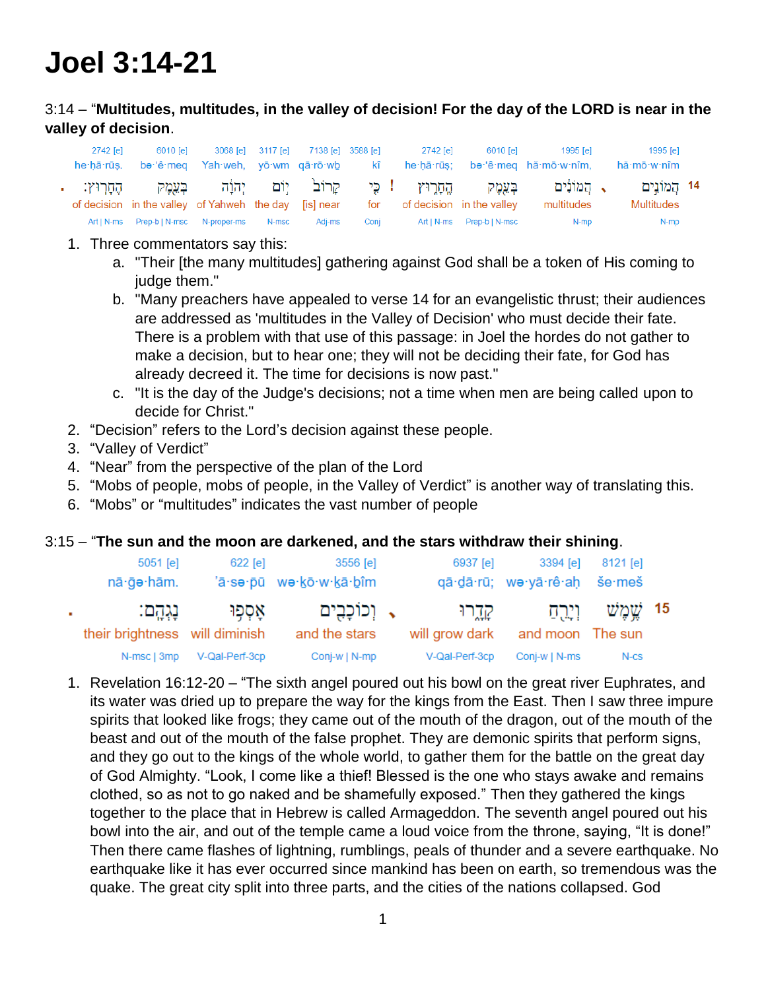# **Joel 3:14-21**

## 3:14 – "**Multitudes, multitudes, in the valley of decision! For the day of the LORD is near in the valley of decision**.

| 2742 [e] | 6010 [e]                                                                                                                                                             |       | 3068 [e] 3117 [e] 7138 [e] 3588 [e] |      | 2742 [e] | 6010 [e]                     | 1995 [e]<br>he hā rūs. be 'ê meq Yah weh, yō wm qā rō wb kî he hā rūs; be 'ê meq hă mō w nîm, | 1995 [e]<br>hă∙mō∙w∙nîm    |  |
|----------|----------------------------------------------------------------------------------------------------------------------------------------------------------------------|-------|-------------------------------------|------|----------|------------------------------|-----------------------------------------------------------------------------------------------|----------------------------|--|
|          | בְּעֵמֵק הֱחַרִוּץ !כִּי קַרוֹב <sup>י</sup> יִוֹם יְהוַה בְּעֵמֵק הֶחַרְוּץ:<br>of decision in the valley of Yahweh the day [is] near for of decision in the valley |       |                                     |      |          |                              | $\sim$ המוֹנָים $\sim$<br>multitudes                                                          | 14 הֱמוֹנֵים<br>Multitudes |  |
|          | Art   N-ms    Prep-b   N-msc    N-proper-ms                                                                                                                          | N-msc | Adi-ms                              | Conj |          | Art   N-ms    Prep-b   N-msc | N-mp                                                                                          | N-mp                       |  |

- 1. Three commentators say this:
	- a. "Their [the many multitudes] gathering against God shall be a token of His coming to judge them."
	- b. "Many preachers have appealed to verse 14 for an evangelistic thrust; their audiences are addressed as 'multitudes in the Valley of Decision' who must decide their fate. There is a problem with that use of this passage: in Joel the hordes do not gather to make a decision, but to hear one; they will not be deciding their fate, for God has already decreed it. The time for decisions is now past."
	- c. "It is the day of the Judge's decisions; not a time when men are being called upon to decide for Christ."
- 2. "Decision" refers to the Lord's decision against these people.
- 3. "Valley of Verdict"
- 4. "Near" from the perspective of the plan of the Lord
- 5. "Mobs of people, mobs of people, in the Valley of Verdict" is another way of translating this.
- 6. "Mobs" or "multitudes" indicates the vast number of people

#### 3:15 – "**The sun and the moon are darkened, and the stars withdraw their shining**.

|    | 5051 [e]<br>nā · gə · hām.                 | $622$ [e]      | 3556 [e]<br>'ā·sə·pū wə·kō·w·kā·bîm | 6937 [e]                  | 3394 [e]<br>qā·dā·rū; wo·yā·rê·aḥ še·meš | 8121 [e]      |  |
|----|--------------------------------------------|----------------|-------------------------------------|---------------------------|------------------------------------------|---------------|--|
| ×. | נְגְהָם:<br>their brightness will diminish | אַסְפִוּ       | , וִכוֹכָבִים<br>and the stars      | קְדֶרוּ<br>will grow dark | וירס<br>and moon The sun                 | 15 יֹשֱמֱיֹשׁ |  |
|    | N-msc   3mp                                | V-Qal-Perf-3cp | Conj-w   N-mp                       | V-Qal-Perf-3cp            | Conj-w   N-ms                            | N-CS          |  |

1. Revelation 16:12-20 – "The sixth angel poured out his bowl on the great river Euphrates, and its water was dried up to prepare the way for the kings from the East. Then I saw three impure spirits that looked like frogs; they came out of the mouth of the dragon, out of the mouth of the beast and out of the mouth of the false prophet. They are demonic spirits that perform signs, and they go out to the kings of the whole world, to gather them for the battle on the great day of God Almighty. "Look, I come like a thief! Blessed is the one who stays awake and remains clothed, so as not to go naked and be shamefully exposed." Then they gathered the kings together to the place that in Hebrew is called Armageddon. The seventh angel poured out his bowl into the air, and out of the temple came a loud voice from the throne, saying, "It is done!" Then there came flashes of lightning, rumblings, peals of thunder and a severe earthquake. No earthquake like it has ever occurred since mankind has been on earth, so tremendous was the quake. The great city split into three parts, and the cities of the nations collapsed. God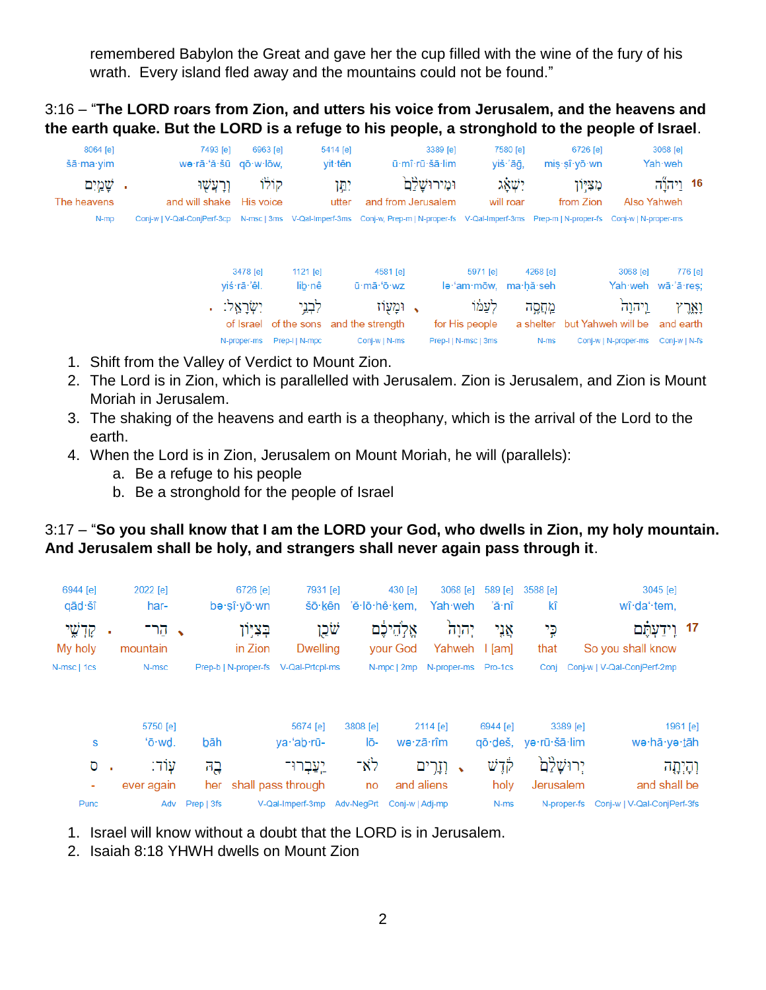remembered Babylon the Great and gave her the cup filled with the wine of the fury of his wrath. Every island fled away and the mountains could not be found."

3:16 – "**The LORD roars from Zion, and utters his voice from Jerusalem, and the heavens and the earth quake. But the LORD is a refuge to his people, a stronghold to the people of Israel**.

| 8064 [e]    | 7493 [e]                    | 6963 [e]                |                      | 5414 [e] |                                                                                                                      | 3389 [e]       |                                   | 7580 [e]  |           | 6726 [e]           |                                | 3068 [e]      |         |
|-------------|-----------------------------|-------------------------|----------------------|----------|----------------------------------------------------------------------------------------------------------------------|----------------|-----------------------------------|-----------|-----------|--------------------|--------------------------------|---------------|---------|
| šā∙ma∙vim   | wa·rā·'ă·šū gō·w·lōw,       |                         |                      | vit∙tên  |                                                                                                                      | ū mî rū šā lim |                                   | yiš·'āğ,  |           | mis·sî·vō·wn       |                                | Yah weh       |         |
| שמים        | וְרַעֲשָׁוּ                 | קוֹלוֹ                  |                      | ימן      |                                                                                                                      | וּמִירוּשַׁלַם |                                   | xxw.      |           | מציון              |                                | 16 וַיְהְיַהָ |         |
| The heavens | and will shake              | His voice               |                      | utter    | and from Jerusalem                                                                                                   |                |                                   | will roar |           | from Zion          | Also Yahweh                    |               |         |
| N-mp        | Conj-w   V-Qal-ConjPerf-3cp |                         |                      |          | N-msc   3ms V-Qal-Imperf-3ms Conj-w, Prep-m   N-proper-fs V-Qal-Imperf-3ms Prep-m   N-proper-fs Conj-w   N-proper-ms |                |                                   |           |           |                    |                                |               |         |
|             |                             | 3478 [e]<br>viś·rā·'êl. | 1121 $[e]$<br>lib·nê |          | 4581 [e]<br>ū·mā·'ō·wz                                                                                               |                | 5971 [e]<br>le·'am·mōw, ma·hă·seh |           | 4268 [e]  |                    | 3068 [e]<br>Yah weh wā 'ā res: |               | 776 [e] |
|             |                             | יִשְׂרַאֵל: .           | לִבְנֵי              |          | , ומעוז                                                                                                              |                | לעמו                              |           | מְחֲסֱה   |                    | וַיהוַה                        |               | וְאֵרְץ |
|             |                             | of Israel               | of the sons          |          | and the strength                                                                                                     |                | for His people                    |           | a shelter | but Yahweh will be |                                | and earth     |         |
|             |                             | N-proper-ms             | Prep-I   N-mpc       |          | Conj-w   N-ms                                                                                                        |                | Prep-I   N-msc   3ms              |           | N-ms      |                    | Conj-w   N-proper-ms           | Conj-w   N-fs |         |

- 1. Shift from the Valley of Verdict to Mount Zion.
- 2. The Lord is in Zion, which is parallelled with Jerusalem. Zion is Jerusalem, and Zion is Mount Moriah in Jerusalem.
- 3. The shaking of the heavens and earth is a theophany, which is the arrival of the Lord to the earth.
- 4. When the Lord is in Zion, Jerusalem on Mount Moriah, he will (parallels):
	- a. Be a refuge to his people
	- b. Be a stronghold for the people of Israel

#### 3:17 – "**So you shall know that I am the LORD your God, who dwells in Zion, my holy mountain. And Jerusalem shall be holy, and strangers shall never again pass through it**.

| 6944 [e]<br>qād·šî  | 2022 [e]<br>har-     |                     | 6726 [e]<br>bə·sî·yō·wn | 7931 [e]                  | šō·kên 'ĕ·lō·hê·kem, | 430 [e]                 | 3068 [e]<br>Yah weh   | 589 [e]<br>'ă∙nî | 3588 [e]<br>kî |             | $3045$ [e]<br>wî·da'·tem,          |          |
|---------------------|----------------------|---------------------|-------------------------|---------------------------|----------------------|-------------------------|-----------------------|------------------|----------------|-------------|------------------------------------|----------|
| קַדְשֶׁי<br>My holy | הר־<br>×<br>mountain | $\hat{\phantom{a}}$ | בִצְיִּוֹן<br>in Zion   | שֹׁכֵן<br><b>Dwelling</b> |                      | אַלְהֵיכֶּם<br>your God | יהוה<br>Yahweh        | אֲנִי<br>[am]    | ڍ٠<br>that     |             | 17 וְידַעְהָם<br>So you shall know |          |
| N-msc   1cs         | N-msc                |                     | Prep-b   N-proper-fs    | V-Qal-Prtcpl-ms           |                      | N-mpc   2mp             | N-proper-ms           | Pro-1cs          | Coni           |             | Conj-w   V-Qal-ConjPerf-2mp        |          |
|                     | 5750 [e]             |                     |                         | 5674 [e]                  | 3808 [e]             |                         | 2114 [e]              | 6944 [e]         |                | 3389 [e]    |                                    | 1961 [e] |
| S                   | 'ō·wd.               | bāh                 |                         | ya·'ab·rū-                | lō-                  | wə∙zā∙rîm               |                       | qō∙deš,          | və rū šā lim   |             | wə·hā·yə·tāh                       |          |
| Ō                   | עוד:<br>٠            | בֶה                 |                         | <u>יַעַבְרוּ־</u>         | לא־                  |                         | וְזָרִים<br>$\bullet$ | לֹדֶשׁ           | ירושלם         |             | וְהָיְחָה                          |          |
| ٠                   | ever again           | her                 |                         | shall pass through        | no                   | and aliens              |                       | holy             | Jerusalem      |             | and shall be                       |          |
| Punc                | Adv                  | Prep   3fs          |                         | V-Qal-Imperf-3mp          | Adv-NegPrt           | Conj-w   Adj-mp         |                       | N-ms             |                | N-proper-fs | Conj-w   V-Qal-ConjPerf-3fs        |          |

- 1. Israel will know without a doubt that the LORD is in Jerusalem.
- 2. Isaiah 8:18 YHWH dwells on Mount Zion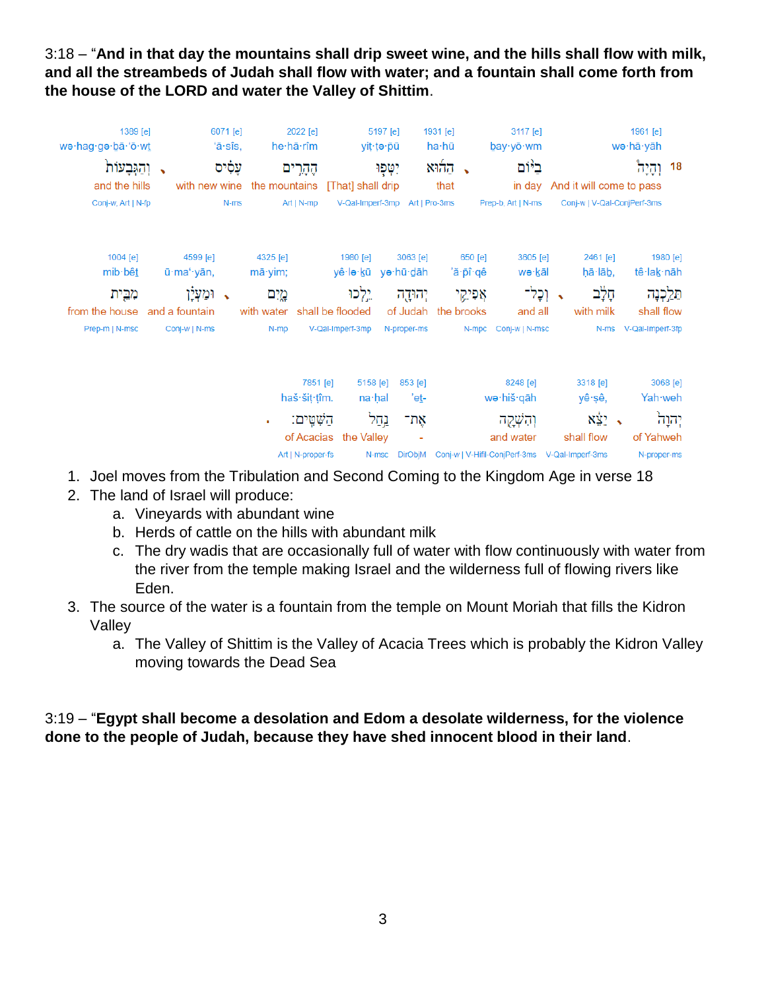3:18 – "**And in that day the mountains shall drip sweet wine, and the hills shall flow with milk, and all the streambeds of Judah shall flow with water; and a fountain shall come forth from the house of the LORD and water the Valley of Shittim**.

| 1389 [e]<br>wə·hag·gə·bā·'ō·wt<br>וְהֵגְּבַעוֹת            |                        | 6071 [e]<br>'ā∙sîs,<br>עַסִים |                                              | 2022 [e]<br>he hā rîm<br>הֶהֶרִים                           |                                             | 5197 [e]<br>yiţ∙ţə∙pū<br>יִטְפְוּ |                                                                               | 1931 [e]<br>ha∙hū<br>នាក់ភ $\sim$ | 3117 [e]<br>$b$ ay·yō·wm<br>ביום                                                                |                                                                | 1961 [e]<br>wə∙hā∙yāh<br><u>וְהֵיה</u> | 18               |
|------------------------------------------------------------|------------------------|-------------------------------|----------------------------------------------|-------------------------------------------------------------|---------------------------------------------|-----------------------------------|-------------------------------------------------------------------------------|-----------------------------------|-------------------------------------------------------------------------------------------------|----------------------------------------------------------------|----------------------------------------|------------------|
| and the hills<br>Conj-w, Art   N-fp                        | with new wine          | N-ms                          | the mountains                                | Art   N-mp                                                  | [That] shall drip<br>V-Qal-Imperf-3mp       |                                   | Art   Pro-3ms                                                                 | that                              | Prep-b, Art   N-ms                                                                              | in day And it will come to pass<br>Conj-w   V-Qal-ConjPerf-3ms |                                        |                  |
| 1004 [e]<br>mib bêt                                        | 4599 [e]<br>ū·maʻ·yān, |                               | 4325 [e]<br>mā·yim;                          |                                                             | 1980 [e]<br>yê∙lə∙kū yə∙hū•dāh              |                                   | 3063 [e]                                                                      | 650 [e]<br>'ă∙pî∙qê               | 3605 [e]<br>wə·kāl                                                                              | 2461 [e]<br>hā·lāb,                                            | 1980 [e]<br>tê∙lak∙nāh                 |                  |
| מִבֵּית<br>from the house and a fountain<br>Prep-m   N-msc | ומעלן<br>Conj-w   N-ms |                               | מֵיִם<br>with water shall be flooded<br>N-mp |                                                             | יֵלְכוּ<br>V-Qal-Imperf-3mp                 |                                   | יהוּדֶה<br>N-proper-ms                                                        | אפיקי<br>of Judah the brooks      | וְכָל־<br>and all<br>N-mpc Conj-w   N-msc                                                       | ּחָלָב<br>with milk                                            | shall flow<br>N-ms V-Qal-Imperf-3fp    | תֵּלֵכְנָה       |
|                                                            |                        |                               |                                              | 7851 [e]<br>haš·šit·tîm.<br>הַשְׁטֵים:<br>Art   N-proper-fs | 5158 [e]<br>na∙hal<br>of Acacias the Valley | נֲחַל<br>N-msc                    | 853 [e]<br>'e <u>t</u> -<br>את־<br>$\overline{\phantom{a}}$<br><b>DirObiM</b> |                                   | 8248 [e]<br>wə∙hiš∙qāh<br>והשקה<br>and water<br>Conj-w   V-Hifil-ConjPerf-3ms  V-Qal-Imperf-3ms | 3318 [e]<br>yê∙şê,<br><b>x</b> * 2<br>shall flow               | Yah weh<br>of Yahweh<br>N-proper-ms    | 3068 [e]<br>יהוה |

- 1. Joel moves from the Tribulation and Second Coming to the Kingdom Age in verse 18
- 2. The land of Israel will produce:
	- a. Vineyards with abundant wine
	- b. Herds of cattle on the hills with abundant milk
	- c. The dry wadis that are occasionally full of water with flow continuously with water from the river from the temple making Israel and the wilderness full of flowing rivers like Eden.
- 3. The source of the water is a fountain from the temple on Mount Moriah that fills the Kidron Valley
	- a. The Valley of Shittim is the Valley of Acacia Trees which is probably the Kidron Valley moving towards the Dead Sea

## 3:19 – "**Egypt shall become a desolation and Edom a desolate wilderness, for the violence done to the people of Judah, because they have shed innocent blood in their land**.